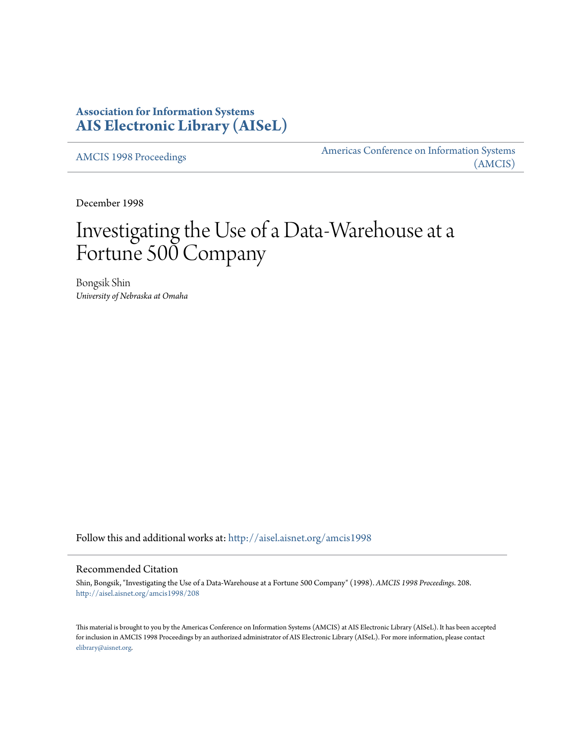# **Association for Information Systems [AIS Electronic Library \(AISeL\)](http://aisel.aisnet.org?utm_source=aisel.aisnet.org%2Famcis1998%2F208&utm_medium=PDF&utm_campaign=PDFCoverPages)**

[AMCIS 1998 Proceedings](http://aisel.aisnet.org/amcis1998?utm_source=aisel.aisnet.org%2Famcis1998%2F208&utm_medium=PDF&utm_campaign=PDFCoverPages)

[Americas Conference on Information Systems](http://aisel.aisnet.org/amcis?utm_source=aisel.aisnet.org%2Famcis1998%2F208&utm_medium=PDF&utm_campaign=PDFCoverPages) [\(AMCIS\)](http://aisel.aisnet.org/amcis?utm_source=aisel.aisnet.org%2Famcis1998%2F208&utm_medium=PDF&utm_campaign=PDFCoverPages)

December 1998

# Investigating the Use of a Data-Warehouse at a Fortune 500 Company

Bongsik Shin *University of Nebraska at Omaha*

Follow this and additional works at: [http://aisel.aisnet.org/amcis1998](http://aisel.aisnet.org/amcis1998?utm_source=aisel.aisnet.org%2Famcis1998%2F208&utm_medium=PDF&utm_campaign=PDFCoverPages)

## Recommended Citation

Shin, Bongsik, "Investigating the Use of a Data-Warehouse at a Fortune 500 Company" (1998). *AMCIS 1998 Proceedings*. 208. [http://aisel.aisnet.org/amcis1998/208](http://aisel.aisnet.org/amcis1998/208?utm_source=aisel.aisnet.org%2Famcis1998%2F208&utm_medium=PDF&utm_campaign=PDFCoverPages)

This material is brought to you by the Americas Conference on Information Systems (AMCIS) at AIS Electronic Library (AISeL). It has been accepted for inclusion in AMCIS 1998 Proceedings by an authorized administrator of AIS Electronic Library (AISeL). For more information, please contact [elibrary@aisnet.org.](mailto:elibrary@aisnet.org%3E)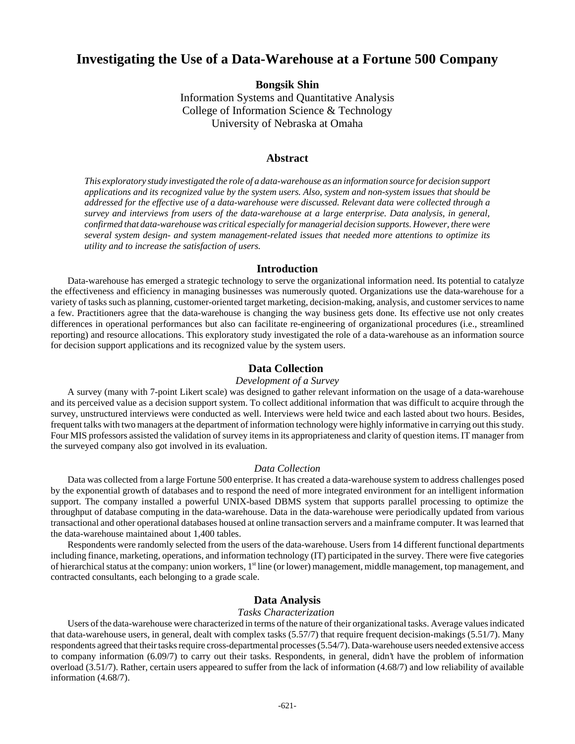# **Investigating the Use of a Data-Warehouse at a Fortune 500 Company**

**Bongsik Shin**

Information Systems and Quantitative Analysis College of Information Science & Technology University of Nebraska at Omaha

#### **Abstract**

*This exploratory study investigated the role of a data-warehouse as an information source for decision support applications and its recognized value by the system users. Also, system and non-system issues that should be addressed for the effective use of a data-warehouse were discussed. Relevant data were collected through a survey and interviews from users of the data-warehouse at a large enterprise. Data analysis, in general, confirmed that data-warehouse was critical especially for managerial decision supports. However, there were several system design- and system management-related issues that needed more attentions to optimize its utility and to increase the satisfaction of users.*

## **Introduction**

Data-warehouse has emerged a strategic technology to serve the organizational information need. Its potential to catalyze the effectiveness and efficiency in managing businesses was numerously quoted. Organizations use the data-warehouse for a variety of tasks such as planning, customer-oriented target marketing, decision-making, analysis, and customer services to name a few. Practitioners agree that the data-warehouse is changing the way business gets done. Its effective use not only creates differences in operational performances but also can facilitate re-engineering of organizational procedures (i.e., streamlined reporting) and resource allocations. This exploratory study investigated the role of a data-warehouse as an information source for decision support applications and its recognized value by the system users.

## **Data Collection**

#### *Development of a Survey*

A survey (many with 7-point Likert scale) was designed to gather relevant information on the usage of a data-warehouse and its perceived value as a decision support system. To collect additional information that was difficult to acquire through the survey, unstructured interviews were conducted as well. Interviews were held twice and each lasted about two hours. Besides, frequent talks with two managers at the department of information technology were highly informative in carrying out this study. Four MIS professors assisted the validation of survey items in its appropriateness and clarity of question items. IT manager from the surveyed company also got involved in its evaluation.

#### *Data Collection*

Data was collected from a large Fortune 500 enterprise. It has created a data-warehouse system to address challenges posed by the exponential growth of databases and to respond the need of more integrated environment for an intelligent information support. The company installed a powerful UNIX-based DBMS system that supports parallel processing to optimize the throughput of database computing in the data-warehouse. Data in the data-warehouse were periodically updated from various transactional and other operational databases housed at online transaction servers and a mainframe computer. It was learned that the data-warehouse maintained about 1,400 tables.

Respondents were randomly selected from the users of the data-warehouse. Users from 14 different functional departments including finance, marketing, operations, and information technology (IT) participated in the survey. There were five categories of hierarchical status at the company: union workers, 1<sup>st</sup> line (or lower) management, middle management, top management, and contracted consultants, each belonging to a grade scale.

# **Data Analysis**

#### *Tasks Characterization*

Users of the data-warehouse were characterized in terms of the nature of their organizational tasks. Average values indicated that data-warehouse users, in general, dealt with complex tasks (5.57/7) that require frequent decision-makings (5.51/7). Many respondents agreed that their tasks require cross-departmental processes (5.54/7). Data-warehouse users needed extensive access to company information (6.09/7) to carry out their tasks. Respondents, in general, didn't have the problem of information overload (3.51/7). Rather, certain users appeared to suffer from the lack of information (4.68/7) and low reliability of available information (4.68/7).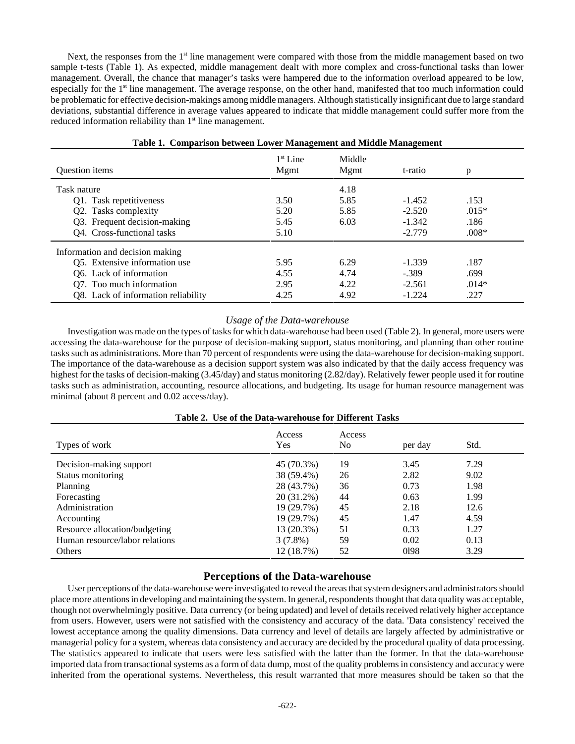Next, the responses from the 1<sup>st</sup> line management were compared with those from the middle management based on two sample t-tests (Table 1). As expected, middle management dealt with more complex and cross-functional tasks than lower management. Overall, the chance that manager's tasks were hampered due to the information overload appeared to be low, especially for the 1<sup>st</sup> line management. The average response, on the other hand, manifested that too much information could be problematic for effective decision-makings among middle managers. Although statistically insignificant due to large standard deviations, substantial difference in average values appeared to indicate that middle management could suffer more from the reduced information reliability than  $1<sup>st</sup>$  line management.

|                                     |                    |                | ≅ –      |         |  |
|-------------------------------------|--------------------|----------------|----------|---------|--|
| <b>Ouestion</b> items               | $1st$ Line<br>Mgmt | Middle<br>Mgmt | t-ratio  | p       |  |
| Task nature                         |                    | 4.18           |          |         |  |
| Q1. Task repetitiveness             | 3.50               | 5.85           | $-1.452$ | .153    |  |
| Q2. Tasks complexity                | 5.20               | 5.85           | $-2.520$ | $.015*$ |  |
| Q3. Frequent decision-making        | 5.45               | 6.03           | $-1.342$ | .186    |  |
| Q4. Cross-functional tasks          | 5.10               |                | $-2.779$ | $.008*$ |  |
| Information and decision making     |                    |                |          |         |  |
| Q5. Extensive information use       | 5.95               | 6.29           | $-1.339$ | .187    |  |
| Q6. Lack of information             | 4.55               | 4.74           | $-.389$  | .699    |  |
| Q7. Too much information            | 2.95               | 4.22           | $-2.561$ | $.014*$ |  |
| Q8. Lack of information reliability | 4.25               | 4.92           | $-1.224$ | .227    |  |

#### **Table 1. Comparison between Lower Management and Middle Management**

#### *Usage of the Data-warehouse*

Investigation was made on the types of tasks for which data-warehouse had been used (Table 2). In general, more users were accessing the data-warehouse for the purpose of decision-making support, status monitoring, and planning than other routine tasks such as administrations. More than 70 percent of respondents were using the data-warehouse for decision-making support. The importance of the data-warehouse as a decision support system was also indicated by that the daily access frequency was highest for the tasks of decision-making (3.45/day) and status monitoring (2.82/day). Relatively fewer people used it for routine tasks such as administration, accounting, resource allocations, and budgeting. Its usage for human resource management was minimal (about 8 percent and 0.02 access/day).

| Table 2. Use of the Data-warehouse for Different Tasks |  |  |  |
|--------------------------------------------------------|--|--|--|
|--------------------------------------------------------|--|--|--|

| Types of work                  | Access<br>Yes | Access<br>N <sub>0</sub> | per day | Std. |
|--------------------------------|---------------|--------------------------|---------|------|
| Decision-making support        | 45 (70.3%)    | 19                       | 3.45    | 7.29 |
| Status monitoring              | 38 (59.4%)    | 26                       | 2.82    | 9.02 |
| Planning                       | 28 (43.7%)    | 36                       | 0.73    | 1.98 |
| Forecasting                    | 20 (31.2%)    | 44                       | 0.63    | 1.99 |
| Administration                 | 19 (29.7%)    | 45                       | 2.18    | 12.6 |
| Accounting                     | 19 (29.7%)    | 45                       | 1.47    | 4.59 |
| Resource allocation/budgeting  | 13 (20.3%)    | 51                       | 0.33    | 1.27 |
| Human resource/labor relations | $3(7.8\%)$    | 59                       | 0.02    | 0.13 |
| Others                         | 12 (18.7%)    | 52                       | 0198    | 3.29 |

# **Perceptions of the Data-warehouse**

User perceptions of the data-warehouse were investigated to reveal the areas that system designers and administrators should place more attentions in developing and maintaining the system. In general, respondents thought that data quality was acceptable, though not overwhelmingly positive. Data currency (or being updated) and level of details received relatively higher acceptance from users. However, users were not satisfied with the consistency and accuracy of the data. 'Data consistency' received the lowest acceptance among the quality dimensions. Data currency and level of details are largely affected by administrative or managerial policy for a system, whereas data consistency and accuracy are decided by the procedural quality of data processing. The statistics appeared to indicate that users were less satisfied with the latter than the former. In that the data-warehouse imported data from transactional systems as a form of data dump, most of the quality problems in consistency and accuracy were inherited from the operational systems. Nevertheless, this result warranted that more measures should be taken so that the